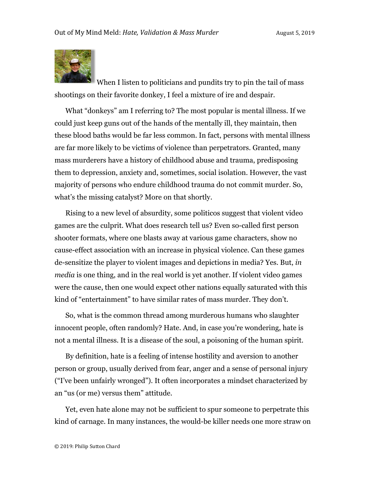

When I listen to politicians and pundits try to pin the tail of mass shootings on their favorite donkey, I feel a mixture of ire and despair.

What "donkeys" am I referring to? The most popular is mental illness. If we could just keep guns out of the hands of the mentally ill, they maintain, then these blood baths would be far less common. In fact, persons with mental illness are far more likely to be victims of violence than perpetrators. Granted, many mass murderers have a history of childhood abuse and trauma, predisposing them to depression, anxiety and, sometimes, social isolation. However, the vast majority of persons who endure childhood trauma do not commit murder. So, what's the missing catalyst? More on that shortly.

Rising to a new level of absurdity, some politicos suggest that violent video games are the culprit. What does research tell us? Even so-called first person shooter formats, where one blasts away at various game characters, show no cause-effect association with an increase in physical violence. Can these games de-sensitize the player to violent images and depictions in media? Yes. But, *in media* is one thing, and in the real world is yet another. If violent video games were the cause, then one would expect other nations equally saturated with this kind of "entertainment" to have similar rates of mass murder. They don't.

So, what is the common thread among murderous humans who slaughter innocent people, often randomly? Hate. And, in case you're wondering, hate is not a mental illness. It is a disease of the soul, a poisoning of the human spirit.

By definition, hate is a feeling of intense hostility and aversion to another person or group, usually derived from fear, anger and a sense of personal injury ("I've been unfairly wronged"). It often incorporates a mindset characterized by an "us (or me) versus them" attitude.

Yet, even hate alone may not be sufficient to spur someone to perpetrate this kind of carnage. In many instances, the would-be killer needs one more straw on